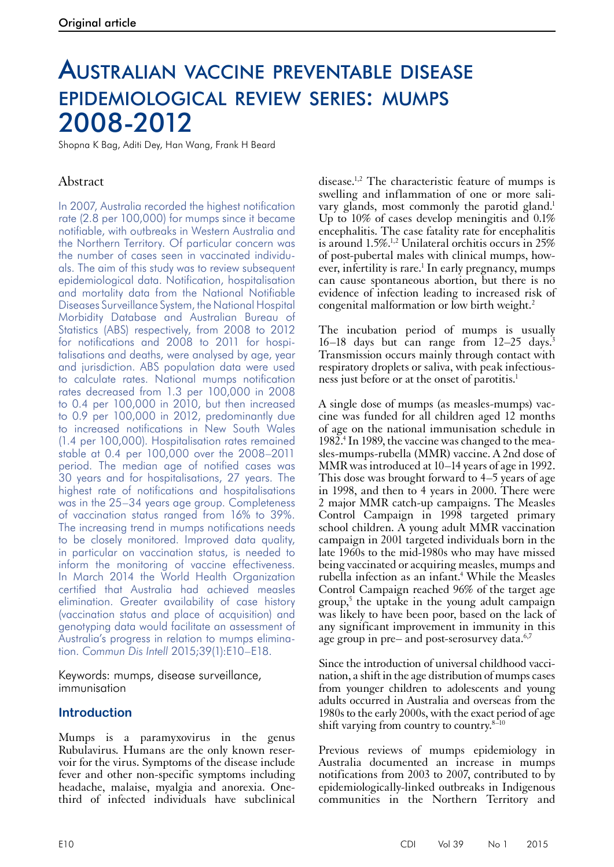# Australian vaccine preventable disease epidemiological review series: mumps 2008-2012

Shopna K Bag, Aditi Dey, Han Wang, Frank H Beard

# Abstract

In 2007, Australia recorded the highest notification rate (2.8 per 100,000) for mumps since it became notifiable, with outbreaks in Western Australia and the Northern Territory. Of particular concern was the number of cases seen in vaccinated individuals. The aim of this study was to review subsequent epidemiological data. Notification, hospitalisation and mortality data from the National Notifiable Diseases Surveillance System, the National Hospital Morbidity Database and Australian Bureau of Statistics (ABS) respectively, from 2008 to 2012 for notifications and 2008 to 2011 for hospitalisations and deaths, were analysed by age, year and jurisdiction. ABS population data were used to calculate rates. National mumps notification rates decreased from 1.3 per 100,000 in 2008 to 0.4 per 100,000 in 2010, but then increased to 0.9 per 100,000 in 2012, predominantly due to increased notifications in New South Wales (1.4 per 100,000). Hospitalisation rates remained stable at 0.4 per 100,000 over the 2008–2011 period. The median age of notified cases was 30 years and for hospitalisations, 27 years. The highest rate of notifications and hospitalisations was in the 25–34 years age group. Completeness of vaccination status ranged from 16% to 39%. The increasing trend in mumps notifications needs to be closely monitored. Improved data quality, in particular on vaccination status, is needed to inform the monitoring of vaccine effectiveness. In March 2014 the World Health Organization certified that Australia had achieved measles elimination. Greater availability of case history (vaccination status and place of acquisition) and genotyping data would facilitate an assessment of Australia's progress in relation to mumps elimination. *Commun Dis Intell* 2015;39(1):E10–E18.

Keywords: mumps, disease surveillance, immunisation

## **Introduction**

Mumps is a paramyxovirus in the genus Rubulavirus*.* Humans are the only known reservoir for the virus. Symptoms of the disease include fever and other non-specific symptoms including headache, malaise, myalgia and anorexia. Onethird of infected individuals have subclinical

disease.1,2 The characteristic feature of mumps is swelling and inflammation of one or more salivary glands, most commonly the parotid gland.<sup>1</sup> Up to 10% of cases develop meningitis and 0.1% encephalitis. The case fatality rate for encephalitis is around 1.5%.1,2 Unilateral orchitis occurs in 25% of post-pubertal males with clinical mumps, however, infertility is rare.<sup>1</sup> In early pregnancy, mumps can cause spontaneous abortion, but there is no evidence of infection leading to increased risk of congenital malformation or low birth weight.2

The incubation period of mumps is usually 16–18 days but can range from 12–25 days.3 Transmission occurs mainly through contact with respiratory droplets or saliva, with peak infectiousness just before or at the onset of parotitis.1

A single dose of mumps (as measles-mumps) vaccine was funded for all children aged 12 months of age on the national immunisation schedule in 1982.4 In 1989, the vaccine was changed to the measles-mumps-rubella (MMR) vaccine. A 2nd dose of MMR was introduced at 10–14 years of age in 1992. This dose was brought forward to 4–5 years of age in 1998, and then to 4 years in 2000. There were 2 major MMR catch-up campaigns. The Measles Control Campaign in 1998 targeted primary school children. A young adult MMR vaccination campaign in 2001 targeted individuals born in the late 1960s to the mid-1980s who may have missed being vaccinated or acquiring measles, mumps and rubella infection as an infant.<sup>4</sup> While the Measles Control Campaign reached 96% of the target age group,5 the uptake in the young adult campaign was likely to have been poor, based on the lack of any significant improvement in immunity in this age group in pre– and post-serosurvey data.<sup>6,7</sup>

Since the introduction of universal childhood vaccination, a shift in the age distribution of mumps cases from younger children to adolescents and young adults occurred in Australia and overseas from the 1980s to the early 2000s, with the exact period of age shift varying from country to country. $8-10$ 

Previous reviews of mumps epidemiology in Australia documented an increase in mumps notifications from 2003 to 2007, contributed to by epidemiologically-linked outbreaks in Indigenous communities in the Northern Territory and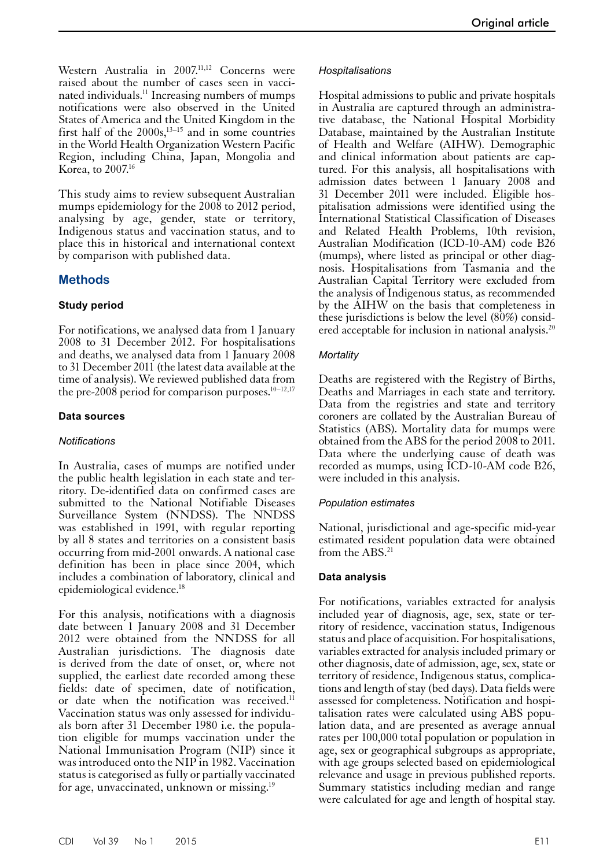Western Australia in 2007.<sup>11,12</sup> Concerns were raised about the number of cases seen in vaccinated individuals.<sup>11</sup> Increasing numbers of mumps notifications were also observed in the United States of America and the United Kingdom in the first half of the  $2000s$ ,<sup>13–15</sup> and in some countries in the World Health Organization Western Pacific Region, including China, Japan, Mongolia and Korea, to 2007.16

This study aims to review subsequent Australian mumps epidemiology for the 2008 to 2012 period, analysing by age, gender, state or territory, Indigenous status and vaccination status, and to place this in historical and international context by comparison with published data.

## **Methods**

## **Study period**

For notifications, we analysed data from 1 January 2008 to 31 December 2012. For hospitalisations and deaths, we analysed data from 1 January 2008 to 31 December 2011 (the latest data available at the time of analysis). We reviewed published data from the pre-2008 period for comparison purposes.<sup>10–12,17</sup>

#### **Data sources**

#### *Notifications*

In Australia, cases of mumps are notified under the public health legislation in each state and ter- ritory. De-identified data on confirmed cases are submitted to the National Notifiable Diseases Surveillance System (NNDSS). The NNDSS was established in 1991, with regular reporting by all 8 states and territories on a consistent basis occurring from mid-2001 onwards. A national case definition has been in place since 2004, which includes a combination of laboratory, clinical and epidemiological evidence.18

For this analysis, notifications with a diagnosis date between 1 January 2008 and 31 December 2012 were obtained from the NNDSS for all Australian jurisdictions. The diagnosis date is derived from the date of onset, or, where not supplied, the earliest date recorded among these fields: date of specimen, date of notification, or date when the notification was received.<sup>11</sup> Vaccination status was only assessed for individuals born after 31 December 1980 i.e. the population eligible for mumps vaccination under the National Immunisation Program (NIP) since it was introduced onto the NIP in 1982. Vaccination status is categorised as fully or partially vaccinated for age, unvaccinated, unknown or missing.19

#### *Hospitalisations*

Hospital admissions to public and private hospitals in Australia are captured through an administrative database, the National Hospital Morbidity Database, maintained by the Australian Institute of Health and Welfare (AIHW). Demographic and clinical information about patients are captured. For this analysis, all hospitalisations with admission dates between 1 January 2008 and 31 December 2011 were included. Eligible hospitalisation admissions were identified using the International Statistical Classification of Diseases and Related Health Problems, 10th revision, Australian Modification (ICD-10-AM) code B26 (mumps), where listed as principal or other diagnosis. Hospitalisations from Tasmania and the Australian Capital Territory were excluded from the analysis of Indigenous status, as recommended by the AIHW on the basis that completeness in these jurisdictions is below the level (80%) considered acceptable for inclusion in national analysis.<sup>20</sup>

## *Mortality*

Deaths are registered with the Registry of Births, Deaths and Marriages in each state and territory. Data from the registries and state and territory coroners are collated by the Australian Bureau of Statistics (ABS). Mortality data for mumps were obtained from the ABS for the period 2008 to 2011. Data where the underlying cause of death was recorded as mumps, using ICD-10-AM code B26, were included in this analysis.

#### *Population estimates*

National, jurisdictional and age-specific mid-year estimated resident population data were obtained from the ABS.<sup>21</sup>

## **Data analysis**

For notifications, variables extracted for analysis included year of diagnosis, age, sex, state or territory of residence, vaccination status, Indigenous status and place of acquisition. For hospitalisations, variables extracted for analysis included primary or other diagnosis, date of admission, age, sex, state or territory of residence, Indigenous status, complications and length of stay (bed days). Data fields were assessed for completeness. Notification and hospi- talisation rates were calculated using ABS popu- lation data, and are presented as average annual rates per 100,000 total population or population in age, sex or geographical subgroups as appropriate, with age groups selected based on epidemiological relevance and usage in previous published reports. Summary statistics including median and range were calculated for age and length of hospital stay.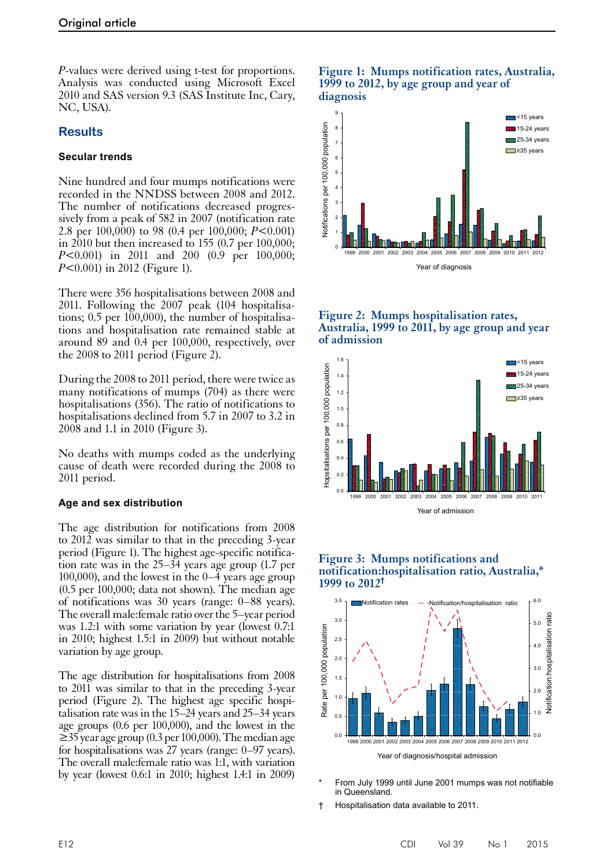*P*-values were derived using t-test for proportions. Analysis was conducted using Microsoft Excel 2010 and SAS version 9.3 (SAS Institute Inc, Cary, NC, USA).

## **Results**

## **Secular trends**

Nine hundred and four mumps notifications were recorded in the NNDSS between 2008 and 2012. The number of notifications decreased progressively from a peak of 582 in 2007 (notification rate 2.8 per 100,000) to 98 (0.4 per 100,000; *P*<0.001) in  $2010$  but then increased to 155 (0.7 per 100,000; *P*<0.001) in 2011 and 200 (0.9 per 100,000; *P*<0.001) in 2012 (Figure 1).

There were 356 hospitalisations between 2008 and 2011. Following the 2007 peak (104 hospitalisations; 0.5 per 100,000), the number of hospitalisations and hospitalisation rate remained stable at around 89 and 0.4 per 100,000, respectively, over the 2008 to 2011 period (Figure 2).

During the 2008 to 2011 period, there were twice as many notifications of mumps (704) as there were hospitalisations (356). The ratio of notifications to hospitalisations declined from 5.7 in 2007 to 3.2 in 2008 and 1.1 in 2010 (Figure 3).

No deaths with mumps coded as the underlying cause of death were recorded during the 2008 to 2011 period.

#### **Age and sex distribution**

The age distribution for notifications from 2008 to 2012 was similar to that in the preceding 3-year period (Figure 1). The highest age-specific notifica- tion rate was in the 25–34 years age group (1.7 per 100,000), and the lowest in the 0–4 years age group (0.5 per 100,000; data not shown). The median age of notifications was 30 years (range: 0–88 years). The overall male:female ratio over the 5–year period was 1.2:1 with some variation by year (lowest 0.7:1 in 2010; highest 1.5:1 in 2009) but without notable variation by age group.

The age distribution for hospitalisations from 2008 to 2011 was similar to that in the preceding 3-year period (Figure 2). The highest age specific hospi- talisation rate was in the 15–24 years and 25–34 years age groups (0.6 per 100,000), and the lowest in the  $\geq$ 35 year age group (0.3 per 100,000). The median age for hospitalisations was 27 years (range: 0–97 years). The overall male:female ratio was 1:1, with variation by year (lowest 0.6:1 in 2010; highest 1.4:1 in 2009)

#### **Figure 1: Mumps notification rates, Australia, 1999 to 2012, by age group and year of diagnosis**



#### **Figure 2: Mumps hospitalisation rates, Australia, 1999 to 2011, by age group and year of admission**







- From July 1999 until June 2001 mumps was not notifiable in Queensland.
- † Hospitalisation data available to 2011.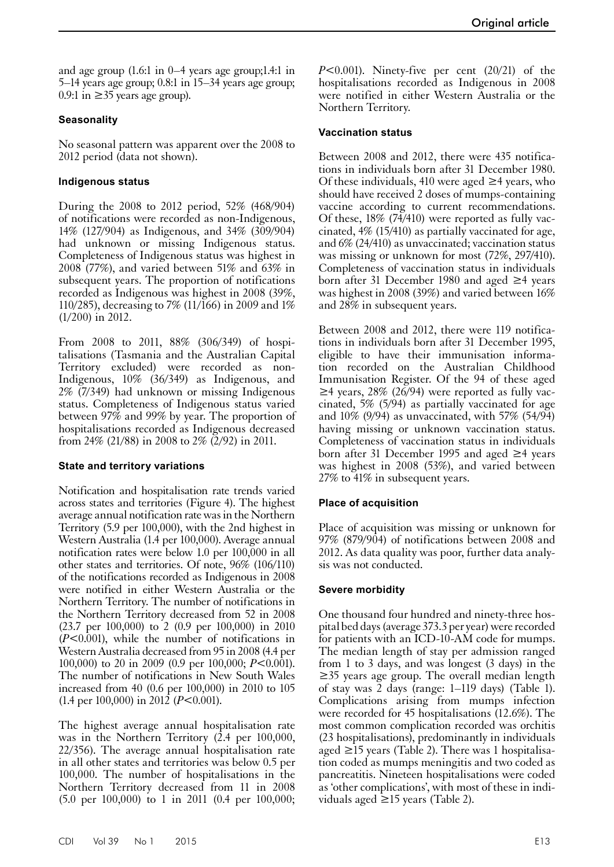and age group (1.6:1 in 0–4 years age group;1.4:1 in 5–14 years age group; 0.8:1 in 15–34 years age group; 0.9:1 in  $\geq$ 35 years age group).

## **Seasonality**

No seasonal pattern was apparent over the 2008 to 2012 period (data not shown).

## **Indigenous status**

During the 2008 to 2012 period, 52% (468/904) of notifications were recorded as non-Indigenous, 14% (127/904) as Indigenous, and 34% (309/904) had unknown or missing Indigenous status. Completeness of Indigenous status was highest in 2008 (77%), and varied between 51% and 63% in subsequent years. The proportion of notifications recorded as Indigenous was highest in 2008 (39%, 110/285), decreasing to 7% (11/166) in 2009 and 1% (1/200) in 2012.

From 2008 to 2011, 88% (306/349) of hospitalisations (Tasmania and the Australian Capital Territory excluded) were recorded as non-Indigenous, 10% (36/349) as Indigenous, and 2% (7/349) had unknown or missing Indigenous status. Completeness of Indigenous status varied between 97% and 99% by year. The proportion of hospitalisations recorded as Indigenous decreased from 24% (21/88) in 2008 to 2% (2/92) in 2011.

## **State and territory variations**

Notification and hospitalisation rate trends varied across states and territories (Figure 4). The highest average annual notification rate was in the Northern Territory (5.9 per 100,000), with the 2nd highest in Western Australia (1.4 per 100,000). Average annual notification rates were below 1.0 per 100,000 in all other states and territories. Of note, 96% (106/110) of the notifications recorded as Indigenous in 2008 were notified in either Western Australia or the Northern Territory. The number of notifications in the Northern Territory decreased from 52 in 2008 (23.7 per 100,000) to 2 (0.9 per 100,000) in 2010 (*P*<0.001), while the number of notifications in Western Australia decreased from 95 in 2008 (4.4 per 100,000) to 20 in 2009 (0.9 per 100,000; *P*<0.001). The number of notifications in New South Wales increased from 40 (0.6 per 100,000) in 2010 to 105 (1.4 per 100,000) in 2012 (*P*<0.001).

The highest average annual hospitalisation rate was in the Northern Territory (2.4 per 100,000, 22/356). The average annual hospitalisation rate in all other states and territories was below 0.5 per 100,000. The number of hospitalisations in the Northern Territory decreased from 11 in 2008 (5.0 per 100,000) to 1 in 2011 (0.4 per 100,000;

*P*<0.001). Ninety-five per cent (20/21) of the hospitalisations recorded as Indigenous in 2008 were notified in either Western Australia or the Northern Territory.

## **Vaccination status**

Between 2008 and 2012, there were 435 notifications in individuals born after 31 December 1980. Of these individuals, 410 were aged  $\geq 4$  years, who should have received 2 doses of mumps-containing vaccine according to current recommendations. Of these, 18% (74/410) were reported as fully vaccinated, 4% (15/410) as partially vaccinated for age, and 6% (24/410) as unvaccinated; vaccination status was missing or unknown for most (72%, 297/410). Completeness of vaccination status in individuals born after 31 December 1980 and aged ≥4 years was highest in 2008 (39%) and varied between 16% and 28% in subsequent years.

Between 2008 and 2012, there were 119 notifications in individuals born after 31 December 1995, eligible to have their immunisation information recorded on the Australian Childhood Immunisation Register. Of the 94 of these aged  $\geq$ 4 years, 28% (26/94) were reported as fully vaccinated, 5% (5/94) as partially vaccinated for age and 10% (9/94) as unvaccinated, with 57% (54/94) having missing or unknown vaccination status. Completeness of vaccination status in individuals born after 31 December 1995 and aged ≥4 years was highest in 2008 (53%), and varied between 27% to 41% in subsequent years.

## **Place of acquisition**

Place of acquisition was missing or unknown for 97% (879/904) of notifications between 2008 and 2012. As data quality was poor, further data analy- sis was not conducted.

#### **Severe morbidity**

One thousand four hundred and ninety-three hospital bed days (average 373.3 per year) were recorded for patients with an ICD-10-AM code for mumps. The median length of stay per admission ranged from 1 to 3 days, and was longest (3 days) in the ≥35 years age group. The overall median length of stay was 2 days (range: 1–119 days) (Table 1). Complications arising from mumps infection were recorded for 45 hospitalisations (12.6%). The most common complication recorded was orchitis (23 hospitalisations), predominantly in individuals aged ≥15 years (Table 2). There was 1 hospitalisation coded as mumps meningitis and two coded as pancreatitis. Nineteen hospitalisations were coded as 'other complications', with most of these in individuals aged ≥15 years (Table 2).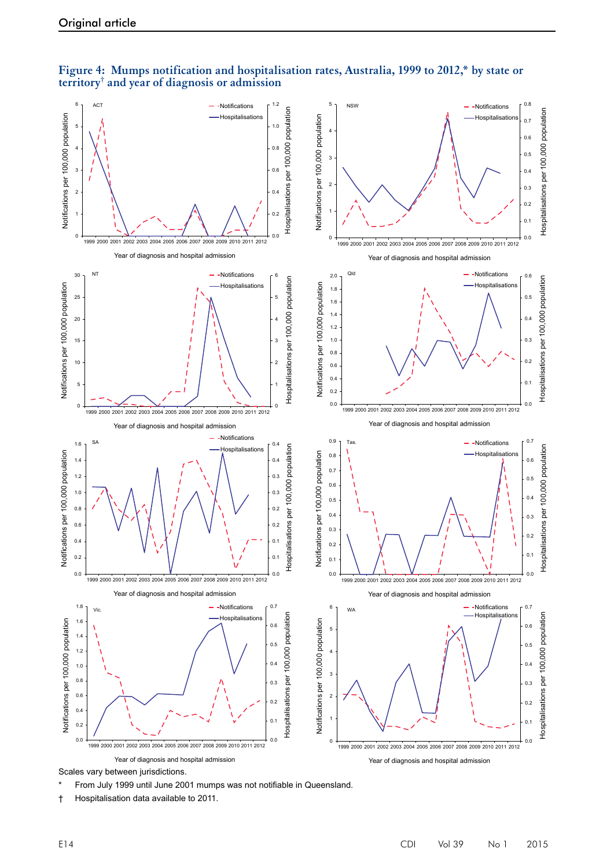



From July 1999 until June 2001 mumps was not notifiable in Queensland.

† Hospitalisation data available to 2011.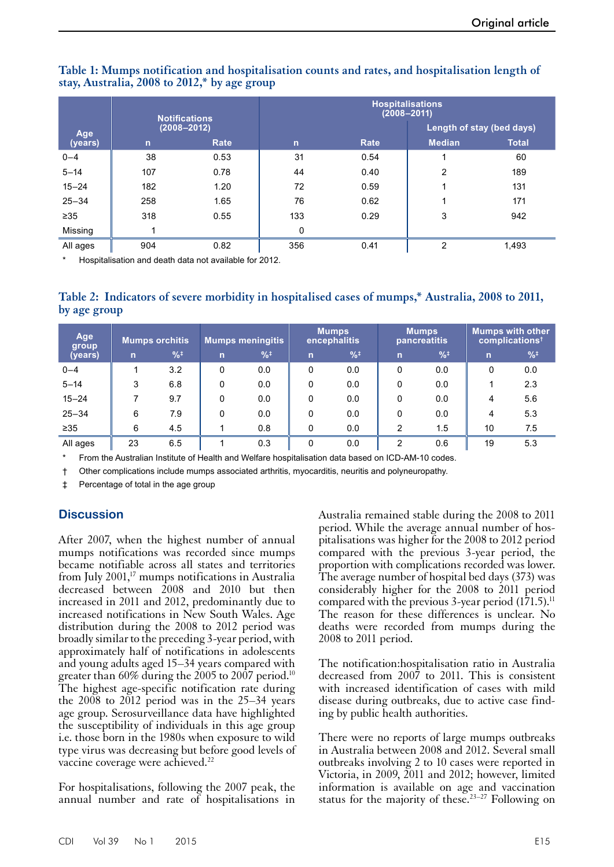|                |              | <b>Notifications</b> | <b>Hospitalisations</b><br>$(2008 - 2011)$ |      |                           |              |  |  |
|----------------|--------------|----------------------|--------------------------------------------|------|---------------------------|--------------|--|--|
| Age<br>(years) |              | $(2008 - 2012)$      |                                            |      | Length of stay (bed days) |              |  |  |
|                | $\mathsf{n}$ | Rate                 | $\mathsf{n}$                               | Rate | <b>Median</b>             | <b>Total</b> |  |  |
| $0 - 4$        | 38           | 0.53                 | 31                                         | 0.54 |                           | 60           |  |  |
| $5 - 14$       | 107          | 0.78                 | 44                                         | 0.40 | 2                         | 189          |  |  |
| $15 - 24$      | 182          | 1.20                 | 72                                         | 0.59 |                           | 131          |  |  |
| $25 - 34$      | 258          | 1.65                 | 76                                         | 0.62 | 1                         | 171          |  |  |
| $\geq 35$      | 318          | 0.55                 | 133                                        | 0.29 | 3                         | 942          |  |  |
| Missing        |              |                      | 0                                          |      |                           |              |  |  |
| All ages       | 904          | 0.82                 | 356                                        | 0.41 | 2                         | 1,493        |  |  |

## **Table 1: Mumps notification and hospitalisation counts and rates, and hospitalisation length of stay, Australia, 2008 to 2012,\* by age group**

Hospitalisation and death data not available for 2012.

**Table 2: Indicators of severe morbidity in hospitalised cases of mumps,\* Australia, 2008 to 2011, by age group**

| Age<br>group | <b>Mumps orchitis</b> |               | <b>Mumps meningitis</b> |               | <b>Mumps</b><br>encephalitis |               | <b>Mumps</b><br>pancreatitis |               | <b>Mumps with other</b><br>complications <sup>†</sup> |               |
|--------------|-----------------------|---------------|-------------------------|---------------|------------------------------|---------------|------------------------------|---------------|-------------------------------------------------------|---------------|
| (years)      | n                     | $\frac{9}{6}$ | $\mathsf{r}$            | $\frac{9}{6}$ | $\mathsf{n}$                 | $\frac{9}{6}$ | $\overline{n}$               | $\frac{9}{6}$ | $\overline{ }$                                        | $\frac{9}{6}$ |
| $0 - 4$      |                       | 3.2           | 0                       | 0.0           | 0                            | 0.0           | 0                            | 0.0           | 0                                                     | 0.0           |
| $5 - 14$     | 3                     | 6.8           | 0                       | 0.0           | 0                            | 0.0           | 0                            | 0.0           |                                                       | 2.3           |
| $15 - 24$    |                       | 9.7           | 0                       | 0.0           | 0                            | 0.0           | 0                            | 0.0           | 4                                                     | 5.6           |
| $25 - 34$    | 6                     | 7.9           | 0                       | 0.0           | 0                            | 0.0           | 0                            | 0.0           | 4                                                     | 5.3           |
| $\geq 35$    | 6                     | 4.5           |                         | 0.8           | 0                            | 0.0           | 2                            | 1.5           | 10                                                    | 7.5           |
| All ages     | 23                    | 6.5           |                         | 0.3           | 0                            | 0.0           | 2                            | 0.6           | 19                                                    | 5.3           |

From the Australian Institute of Health and Welfare hospitalisation data based on ICD-AM-10 codes.

† Other complications include mumps associated arthritis, myocarditis, neuritis and polyneuropathy.

‡ Percentage of total in the age group

## **Discussion**

After 2007, when the highest number of annual mumps notifications was recorded since mumps became notifiable across all states and territories from July  $2001$ ,<sup>17</sup> mumps notifications in Australia decreased between 2008 and 2010 but then increased in 2011 and 2012, predominantly due to increased notifications in New South Wales. Age distribution during the 2008 to 2012 period was broadly similar to the preceding 3-year period, with approximately half of notifications in adolescents and young adults aged 15–34 years compared with greater than 60% during the 2005 to 2007 period.<sup>10</sup> The highest age-specific notification rate during the  $2008$  to  $2012$  period was in the  $25-34$  years age group. Serosurveillance data have highlighted the susceptibility of individuals in this age group i.e. those born in the 1980s when exposure to wild type virus was decreasing but before good levels of vaccine coverage were achieved.<sup>22</sup>

For hospitalisations, following the 2007 peak, the annual number and rate of hospitalisations in

Australia remained stable during the 2008 to 2011 period. While the average annual number of hos-<br>pitalisations was higher for the 2008 to 2012 period compared with the previous 3-year period, the proportion with complications recorded was lower. The average number of hospital bed days (373) was considerably higher for the 2008 to 2011 period compared with the previous 3-year period  $(171.5)^{11}$ The reason for these differences is unclear. No deaths were recorded from mumps during the 2008 to 2011 period.

The notification:hospitalisation ratio in Australia decreased from 2007 to 2011. This is consistent with increased identification of cases with mild disease during outbreaks, due to active case find- ing by public health authorities.

There were no reports of large mumps outbreaks in Australia between 2008 and 2012. Several small outbreaks involving 2 to 10 cases were reported in Victoria, in 2009, 2011 and 2012; however, limited information is available on age and vaccination status for the majority of these.<sup>23–27</sup> Following on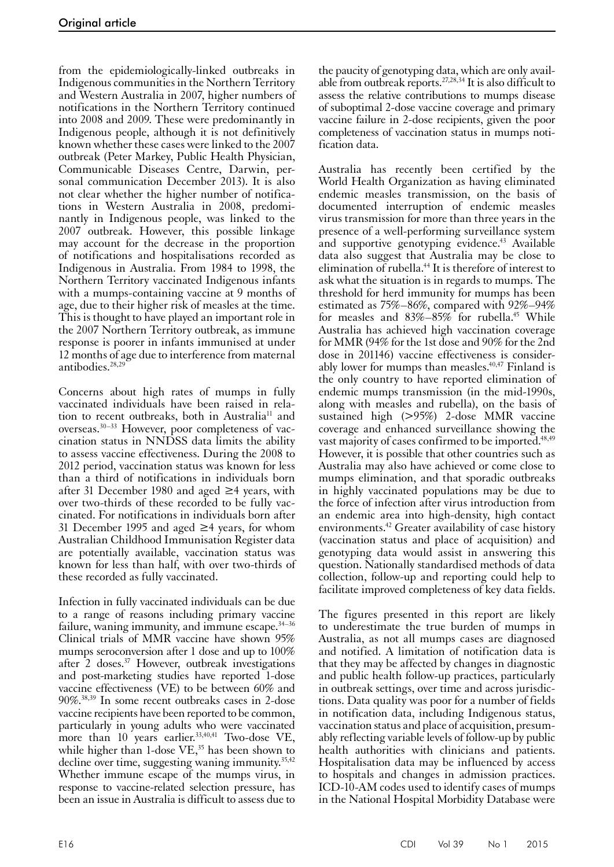from the epidemiologically-linked outbreaks in Indigenous communities in the Northern Territory and Western Australia in 2007, higher numbers of notifications in the Northern Territory continued into 2008 and 2009. These were predominantly in Indigenous people, although it is not definitively known whether these cases were linked to the 2007 outbreak (Peter Markey, Public Health Physician, Communicable Diseases Centre, Darwin, personal communication December 2013). It is also not clear whether the higher number of notifications in Western Australia in 2008, predominantly in Indigenous people, was linked to the 2007 outbreak. However, this possible linkage may account for the decrease in the proportion of notifications and hospitalisations recorded as Indigenous in Australia. From 1984 to 1998, the Northern Territory vaccinated Indigenous infants with a mumps-containing vaccine at 9 months of age, due to their higher risk of measles at the time. This is thought to have played an important role in the 2007 Northern Territory outbreak, as immune response is poorer in infants immunised at under 12 months of age due to interference from maternal antibodies.28,29

Concerns about high rates of mumps in fully vaccinated individuals have been raised in relation to recent outbreaks, both in Australia<sup>11</sup> and overseas.30–33 However, poor completeness of vaccination status in NNDSS data limits the ability to assess vaccine effectiveness. During the 2008 to 2012 period, vaccination status was known for less than a third of notifications in individuals born after 31 December 1980 and aged ≥4 years, with over two-thirds of these recorded to be fully vac- cinated. For notifications in individuals born after 31 December 1995 and aged ≥4 years, for whom Australian Childhood Immunisation Register data are potentially available, vaccination status was known for less than half, with over two-thirds of these recorded as fully vaccinated.

Infection in fully vaccinated individuals can be due to a range of reasons including primary vaccine failure, waning immunity, and immune escape. $34-36$ Clinical trials of MMR vaccine have shown 95% mumps seroconversion after 1 dose and up to 100% after 2 doses.37 However, outbreak investigations and post-marketing studies have reported 1-dose vaccine effectiveness (VE) to be between 60% and 90%.38,39 In some recent outbreaks cases in 2-dose vaccine recipients have been reported to be common, particularly in young adults who were vaccinated more than  $10$  years earlier.<sup>33,40,41</sup> Two-dose VE, while higher than 1-dose VE,<sup>35</sup> has been shown to decline over time, suggesting waning immunity.  $35,42$ Whether immune escape of the mumps virus, in response to vaccine-related selection pressure, has been an issue in Australia is difficult to assess due to

the paucity of genotyping data, which are only available from outbreak reports.<sup>27,28,34</sup> It is also difficult to assess the relative contributions to mumps disease of suboptimal 2-dose vaccine coverage and primary vaccine failure in 2-dose recipients, given the poor completeness of vaccination status in mumps notification data.

Australia has recently been certified by the World Health Organization as having eliminated endemic measles transmission, on the basis of documented interruption of endemic measles virus transmission for more than three years in the presence of a well-performing surveillance system and supportive genotyping evidence.<sup>43</sup> Available data also suggest that Australia may be close to elimination of rubella.44 It is therefore of interest to ask what the situation is in regards to mumps. The threshold for herd immunity for mumps has been estimated as 75%–86%, compared with 92%–94% for measles and  $83\% - 85\%$  for rubella.<sup>45</sup> While Australia has achieved high vaccination coverage for MMR (94% for the 1st dose and 90% for the 2nd dose in 201146) vaccine effectiveness is considerably lower for mumps than measles. $40,47$  Finland is the only country to have reported elimination of endemic mumps transmission (in the mid-1990s, along with measles and rubella), on the basis of sustained high (>95%) 2-dose MMR vaccine coverage and enhanced surveillance showing the vast majority of cases confirmed to be imported.<sup>48,49</sup> However, it is possible that other countries such as Australia may also have achieved or come close to mumps elimination, and that sporadic outbreaks in highly vaccinated populations may be due to the force of infection after virus introduction from an endemic area into high-density, high contact environments.<sup>42</sup> Greater availability of case history (vaccination status and place of acquisition) and genotyping data would assist in answering this question. Nationally standardised methods of data collection, follow-up and reporting could help to facilitate improved completeness of key data fields.

The figures presented in this report are likely to underestimate the true burden of mumps in Australia, as not all mumps cases are diagnosed and notified. A limitation of notification data is that they may be affected by changes in diagnostic and public health follow-up practices, particularly in outbreak settings, over time and across jurisdic- tions. Data quality was poor for a number of fields in notification data, including Indigenous status, vaccination status and place of acquisition, presum- ably reflecting variable levels of follow-up by public health authorities with clinicians and patients. Hospitalisation data may be influenced by access to hospitals and changes in admission practices. ICD-10-AM codes used to identify cases of mumps in the National Hospital Morbidity Database were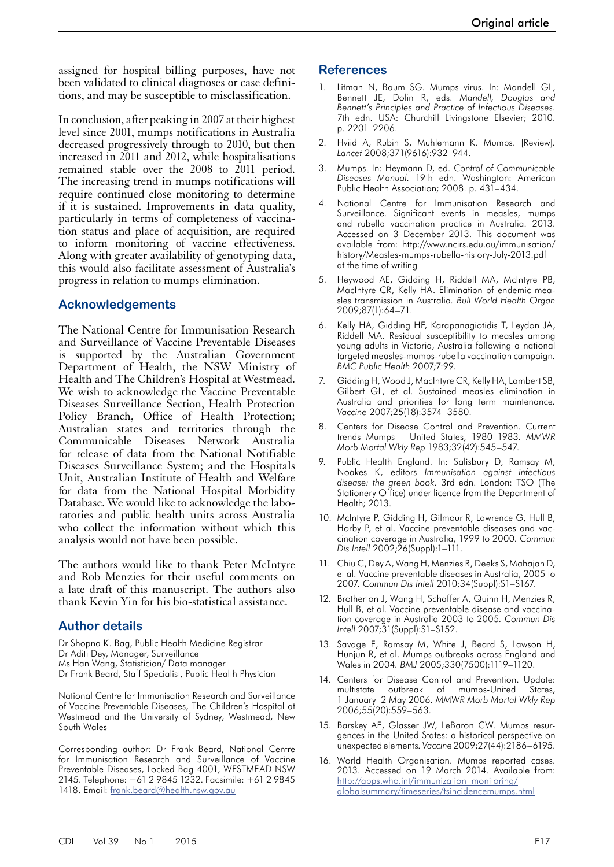assigned for hospital billing purposes, have not been validated to clinical diagnoses or case definitions, and may be susceptible to misclassification.

In conclusion, after peaking in 2007 at their highest level since 2001, mumps notifications in Australia decreased progressively through to 2010, but then increased in 2011 and 2012, while hospitalisations remained stable over the 2008 to 2011 period. The increasing trend in mumps notifications will require continued close monitoring to determine if it is sustained. Improvements in data quality, particularly in terms of completeness of vaccination status and place of acquisition, are required to inform monitoring of vaccine effectiveness. Along with greater availability of genotyping data, this would also facilitate assessment of Australia's progress in relation to mumps elimination.

## **Acknowledgements**

The National Centre for Immunisation Research and Surveillance of Vaccine Preventable Diseases is supported by the Australian Government Department of Health, the NSW Ministry of Health and The Children's Hospital at Westmead. We wish to acknowledge the Vaccine Preventable Diseases Surveillance Section, Health Protection Policy Branch, Office of Health Protection; Australian states and territories through the Communicable Diseases Network Australia for release of data from the National Notifiable Diseases Surveillance System; and the Hospitals Unit, Australian Institute of Health and Welfare for data from the National Hospital Morbidity Database. We would like to acknowledge the labo- ratories and public health units across Australia who collect the information without which this analysis would not have been possible.

The authors would like to thank Peter McIntyre and Rob Menzies for their useful comments on a late draft of this manuscript. The authors also thank Kevin Yin for his bio-statistical assistance.

## **Author details**

Dr Shopna K. Bag, Public Health Medicine Registrar Dr Aditi Dey, Manager, Surveillance Ms Han Wang, Statistician/ Data manager Dr Frank Beard, Staff Specialist, Public Health Physician

National Centre for Immunisation Research and Surveillance of Vaccine Preventable Diseases, The Children's Hospital at Westmead and the University of Sydney, Westmead, New South Wales

Corresponding author: Dr Frank Beard, National Centre for Immunisation Research and Surveillance of Vaccine Preventable Diseases, Locked Bag 4001, WESTMEAD NSW 2145. Telephone: +61 2 9845 1232. Facsimile: +61 2 9845 1418. Email: [frank.beard@health.nsw.gov.au](mailto:frank.beard@health.nsw.gov.au)

#### **References**

- 1. Litman N, Baum SG. Mumps virus. In: Mandell GL, Bennett JE, Dolin R, eds. *Mandell, Douglas and Bennett's Principles and Practice of Infectious Diseases*. 7th edn. USA: Churchill Livingstone Elsevier; 2010. p. 2201–2206.
- 2. Hviid A, Rubin S, Muhlemann K. Mumps. [Review]*. Lancet* 2008;371(9616):932–944.
- 3. Mumps. In: Heymann D, ed. *Control of Communicable Diseases Manual*. 19th edn. Washington: American Public Health Association; 2008. p. 431–434.
- 4. National Centre for Immunisation Research and Surveillance. Significant events in measles, mumps and rubella vaccination practice in Australia. 2013. Accessed on 3 December 2013. This document was available from: http://www.ncirs.edu.au/immunisation/ history/Measles-mumps-rubella-history-July-2013.pdf at the time of writing
- 5. Heywood AE, Gidding H, Riddell MA, McIntyre PB, MacIntyre CR, Kelly HA. Elimination of endemic measles transmission in Australia*. Bull World Health Organ* 2009;87(1):64–71.
- 6. Kelly HA, Gidding HF, Karapanagiotidis T, Leydon JA, Riddell MA. Residual susceptibility to measles among young adults in Victoria, Australia following a national targeted measles-mumps-rubella vaccination campaign*. BMC Public Health* 2007;7:99.
- 7. Gidding H, Wood J, MacIntyre CR, Kelly HA, Lambert SB, Gilbert GL, et al. Sustained measles elimination in Australia and priorities for long term maintenance*. Vaccine* 2007;25(18):3574–3580.
- 8. Centers for Disease Control and Prevention. Current trends Mumps – United States, 1980–1983*. MMWR Morb Mortal Wkly Rep* 1983;32(42):545–547.
- 9. Public Health England. In: Salisbury D, Ramsay M, Noakes K, editors *Immunisation against infectious disease: the green book.* 3rd edn. London: TSO (The Stationery Office) under licence from the Department of Health; 2013.
- 10. McIntyre P, Gidding H, Gilmour R, Lawrence G, Hull B, Horby P, et al. Vaccine preventable diseases and vaccination coverage in Australia, 1999 to 2000*. Commun Dis Intell* 2002;26(Suppl):1–111.
- 11. Chiu C, Dey A, Wang H, Menzies R, Deeks S, Mahajan D, et al. Vaccine preventable diseases in Australia, 2005 to 2007*. Commun Dis Intell* 2010;34(Suppl):S1–S167.
- 12. Brotherton J, Wang H, Schaffer A, Quinn H, Menzies R, Hull B, et al. Vaccine preventable disease and vaccination coverage in Australia 2003 to 2005*. Commun Dis Intell* 2007;31(Suppl):S1–S152.
- 13. Savage E, Ramsay M, White J, Beard S, Lawson H, Hunjun R, et al. Mumps outbreaks across England and Wales in 2004*. BMJ* 2005;330(7500):1119–1120.
- 14. Centers for Disease Control and Prevention. Update: multistate outbreak of mumps-United States, 1 January–2 May 2006*. MMWR Morb Mortal Wkly Rep* 2006;55(20):559–563.
- 15. Barskey AE, Glasser JW, LeBaron CW. Mumps resurgences in the United States: a historical perspective on unexpected elements*. Vaccine* 2009;27(44):2186–6195.
- 16. World Health Organisation. Mumps reported cases. 2013. Accessed on 19 March 2014. Available from: [http://apps.who.int/immunization\\_monitoring/](http://apps.who.int/immunization_monitoring/globalsummary/timeseries/tsincidencemumps.html) [globalsummary/timeseries/tsincidencemumps.html](http://apps.who.int/immunization_monitoring/globalsummary/timeseries/tsincidencemumps.html)